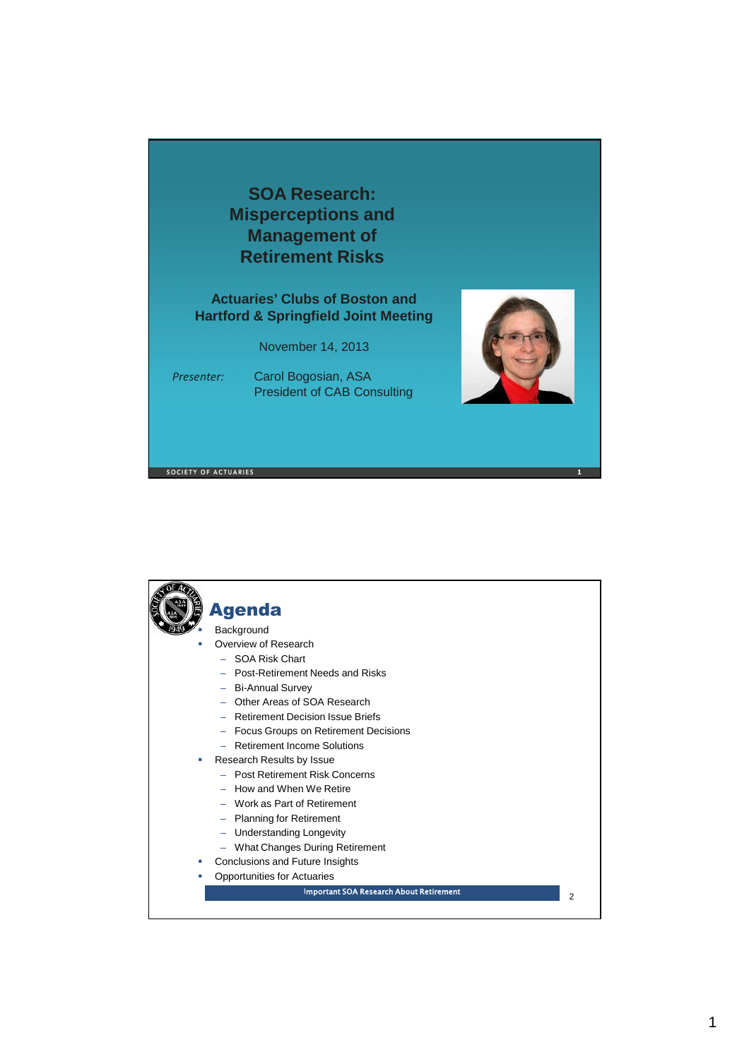

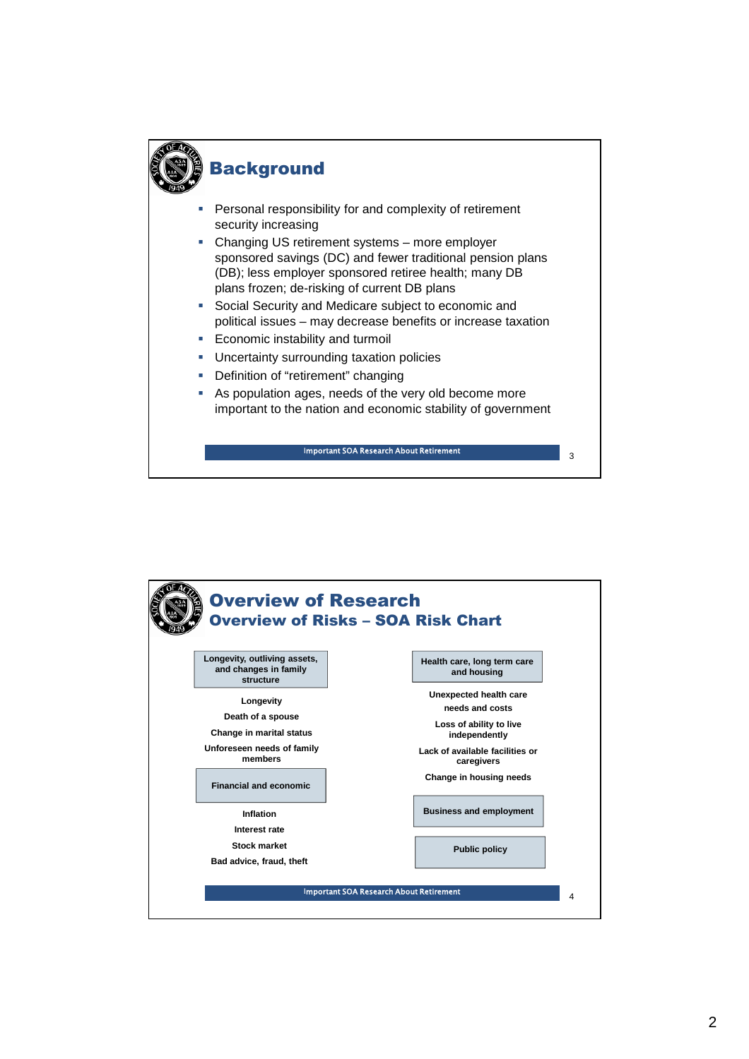

# **Background**

- Personal responsibility for and complexity of retirement security increasing
- Changing US retirement systems more employer sponsored savings (DC) and fewer traditional pension plans (DB); less employer sponsored retiree health; many DB plans frozen; de-risking of current DB plans
- Social Security and Medicare subject to economic and political issues – may decrease benefits or increase taxation
- Economic instability and turmoil
- **-** Uncertainty surrounding taxation policies
- **Definition of "retirement" changing**
- As population ages, needs of the very old become more important to the nation and economic stability of government

Important SOA Research About Retirement

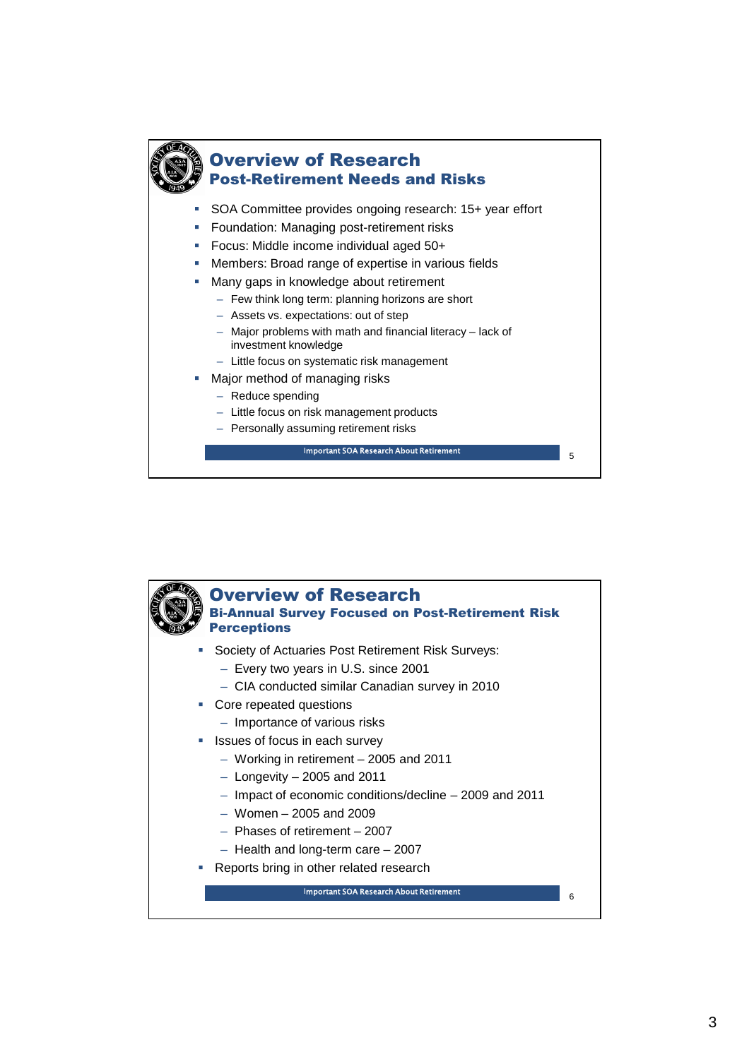

### Overview of Research Post-Retirement Needs and Risks

- SOA Committee provides ongoing research: 15+ year effort
- **Foundation: Managing post-retirement risks**
- Focus: Middle income individual aged 50+
- Members: Broad range of expertise in various fields
- **Many gaps in knowledge about retirement** 
	- Few think long term: planning horizons are short
	- Assets vs. expectations: out of step
	- Major problems with math and financial literacy lack of investment knowledge
	- Little focus on systematic risk management
- Major method of managing risks
	- Reduce spending
	- Little focus on risk management products
	- Personally assuming retirement risks

Important SOA Research About Retirement

5

Overview of Research Bi-Annual Survey Focused on Post-Retirement Risk **Perceptions**  Society of Actuaries Post Retirement Risk Surveys: – Every two years in U.S. since 2001 – CIA conducted similar Canadian survey in 2010 Core repeated questions – Importance of various risks **If** Issues of focus in each survey – Working in retirement – 2005 and 2011 – Longevity – 2005 and 2011 – Impact of economic conditions/decline – 2009 and 2011 – Women – 2005 and 2009 – Phases of retirement – 2007 – Health and long-term care – 2007 **Reports bring in other related research**  $\epsilon$ Important SOA Research About Retirement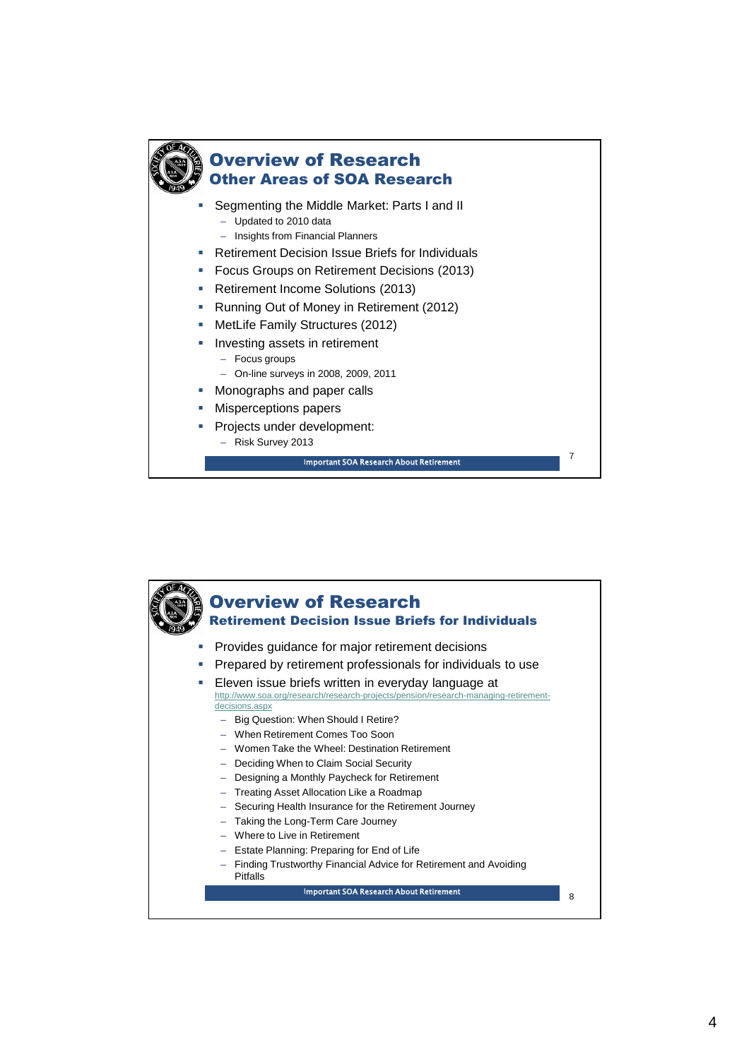

### Overview of Research Other Areas of SOA Research

- **Segmenting the Middle Market: Parts I and II** 
	- Updated to 2010 data
	- Insights from Financial Planners
- **Retirement Decision Issue Briefs for Individuals**
- **Focus Groups on Retirement Decisions (2013)**
- **Retirement Income Solutions (2013)**
- **Running Out of Money in Retirement (2012)**
- **MetLife Family Structures (2012)**
- **Investing assets in retirement** 
	- Focus groups
	- On-line surveys in 2008, 2009, 2011
- Monographs and paper calls
- Misperceptions papers
- Projects under development:
	- Risk Survey 2013

Important SOA Research About Retirement

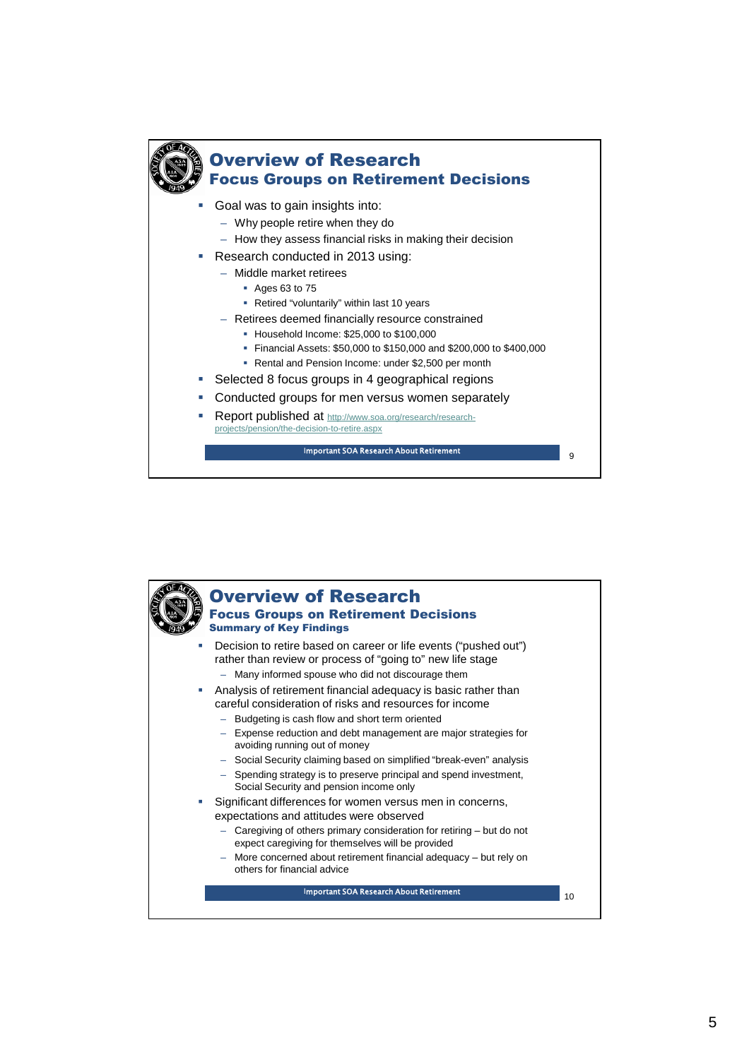

## Overview of Research

#### Focus Groups on Retirement Decisions

- Goal was to gain insights into:
	- Why people retire when they do
	- How they assess financial risks in making their decision
- Research conducted in 2013 using:
	- Middle market retirees
		- Ages 63 to 75
		- Retired "voluntarily" within last 10 years
	- Retirees deemed financially resource constrained
		- Household Income: \$25,000 to \$100,000
		- Financial Assets: \$50,000 to \$150,000 and \$200,000 to \$400,000
		- Rental and Pension Income: under \$2,500 per month
- Selected 8 focus groups in 4 geographical regions
- Conducted groups for men versus women separately
- Report published at http://www.soa.org/research/researchprojects/pension/the-decision-to-retire.aspx

Important SOA Research About Retirement

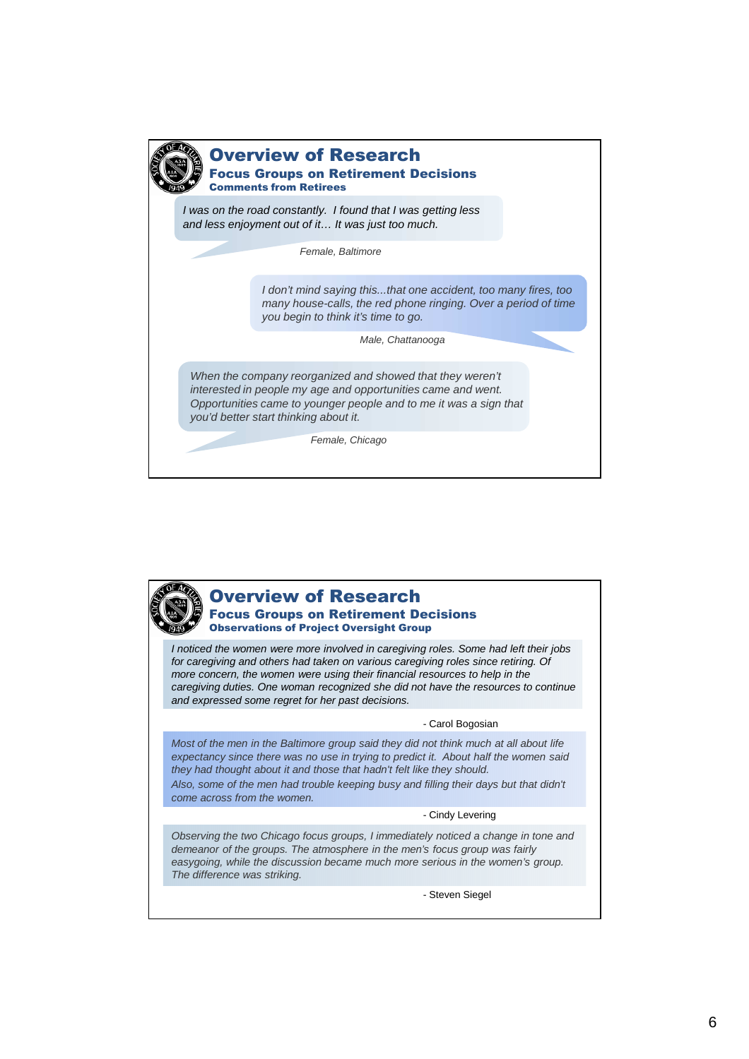

#### Overview of Research

Focus Groups on Retirement Decisions Comments from Retirees

*I was on the road constantly. I found that I was getting less and less enjoyment out of it… It was just too much.*

*Female, Baltimore*

*I don't mind saying this...that one accident, too many fires, too many house-calls, the red phone ringing. Over a period of time you begin to think it's time to go.*

*Male, Chattanooga*

*When the company reorganized and showed that they weren't interested in people my age and opportunities came and went. Opportunities came to younger people and to me it was a sign that you'd better start thinking about it.*

*Female, Chicago*

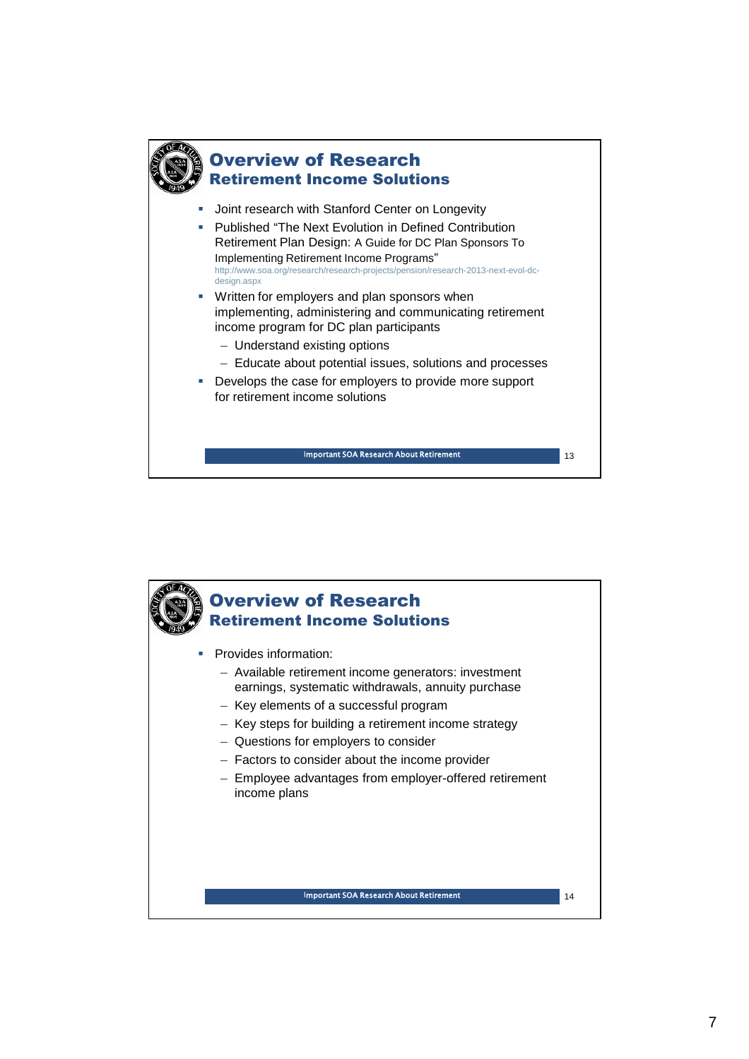

### Overview of Research Retirement Income Solutions

- Joint research with Stanford Center on Longevity
- Published "The Next Evolution in Defined Contribution Retirement Plan Design: A Guide for DC Plan Sponsors To Implementing Retirement Income Programs" http://www.soa.org/research/research-projects/pension/research-2013-next-evol-dcdesign aspx
- Written for employers and plan sponsors when implementing, administering and communicating retirement income program for DC plan participants
	- Understand existing options
	- Educate about potential issues, solutions and processes
- Develops the case for employers to provide more support for retirement income solutions

Important SOA Research About Retirement 13 Apr 2014 13

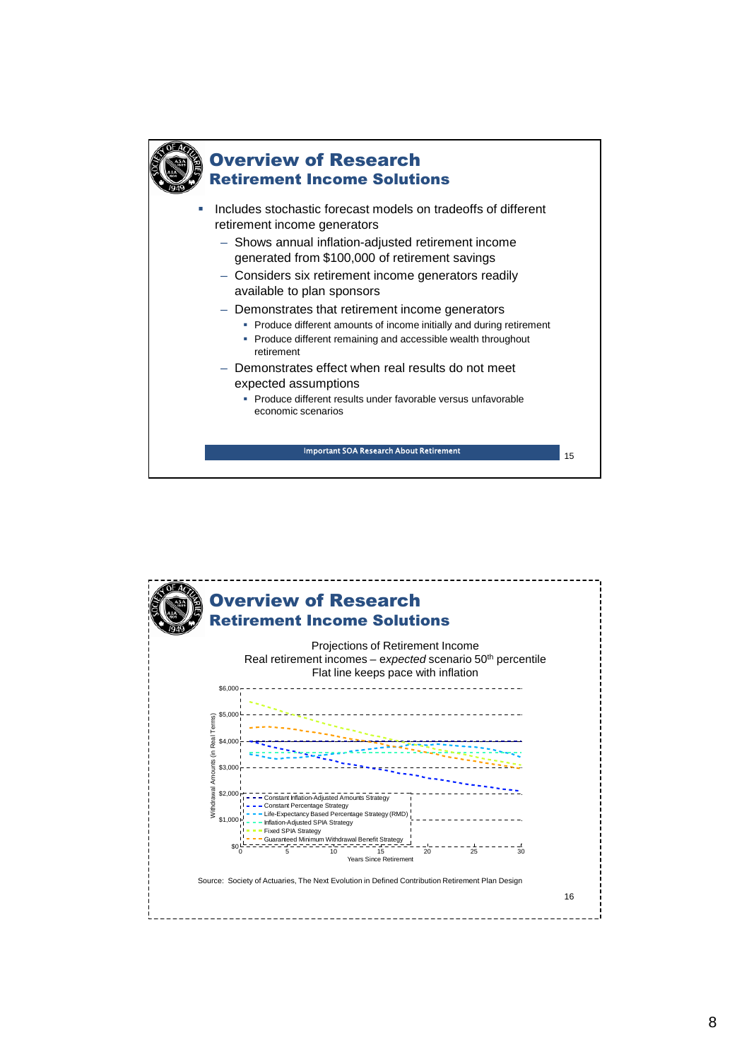

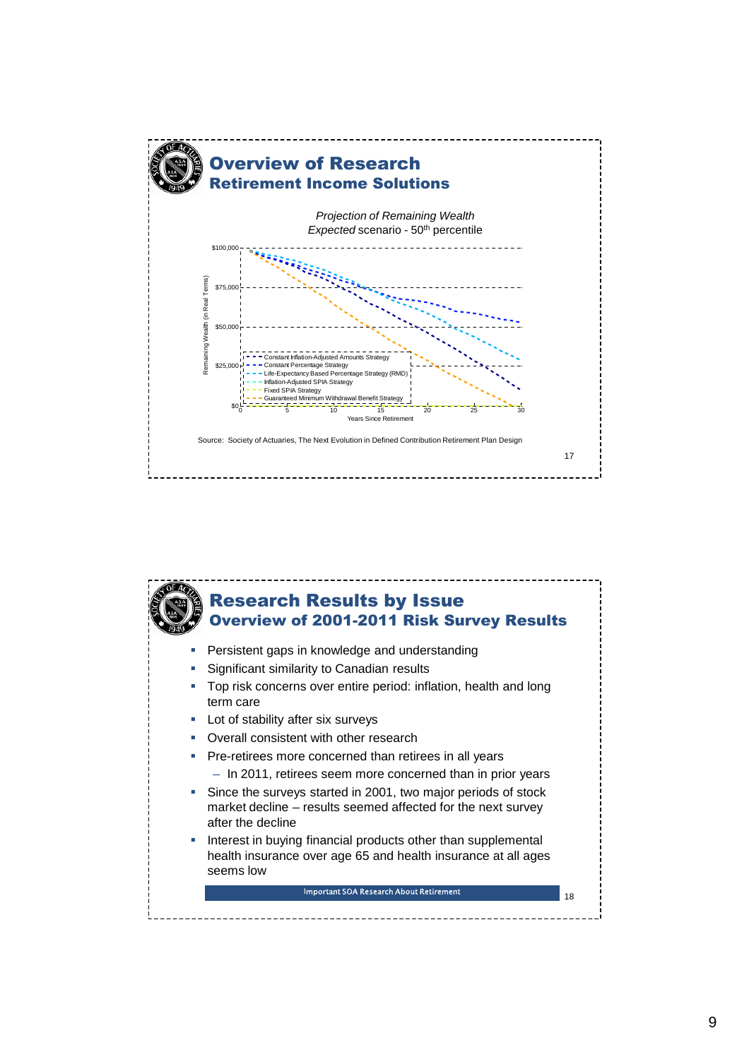

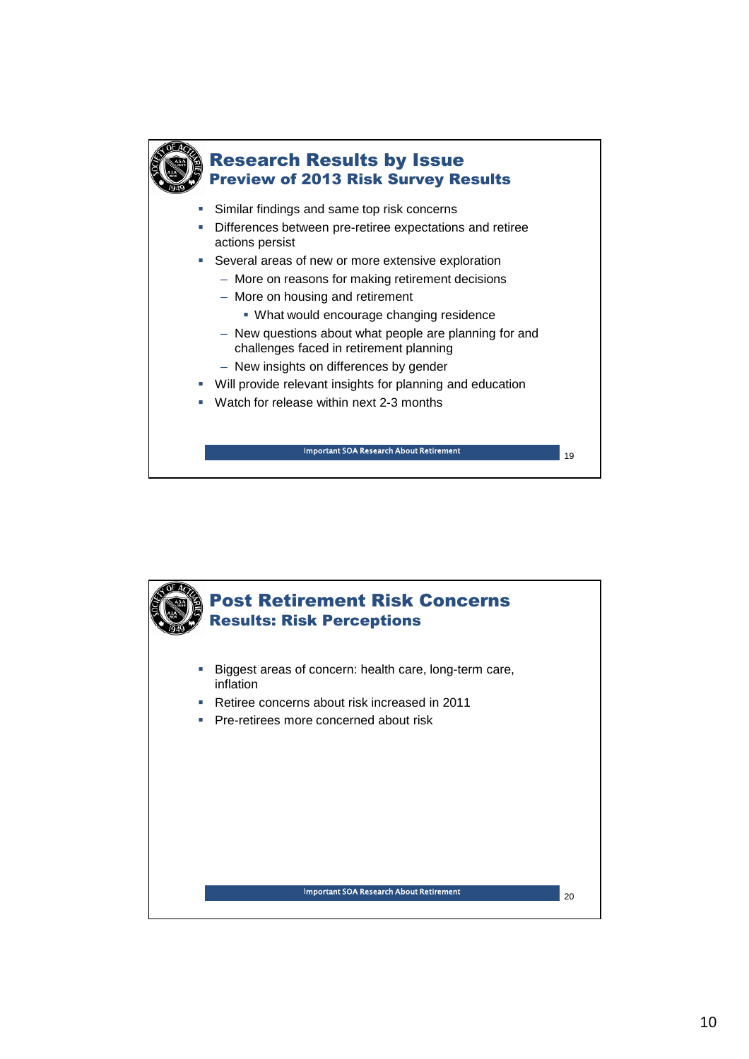

## Research Results by Issue Preview of 2013 Risk Survey Results

- **Similar findings and same top risk concerns**
- Differences between pre-retiree expectations and retiree actions persist
- **Several areas of new or more extensive exploration** 
	- More on reasons for making retirement decisions
	- More on housing and retirement
		- What would encourage changing residence
	- New questions about what people are planning for and challenges faced in retirement planning
	- New insights on differences by gender
- Will provide relevant insights for planning and education
- Watch for release within next 2-3 months

<sup>19</sup> Important SOA Research About Retirement

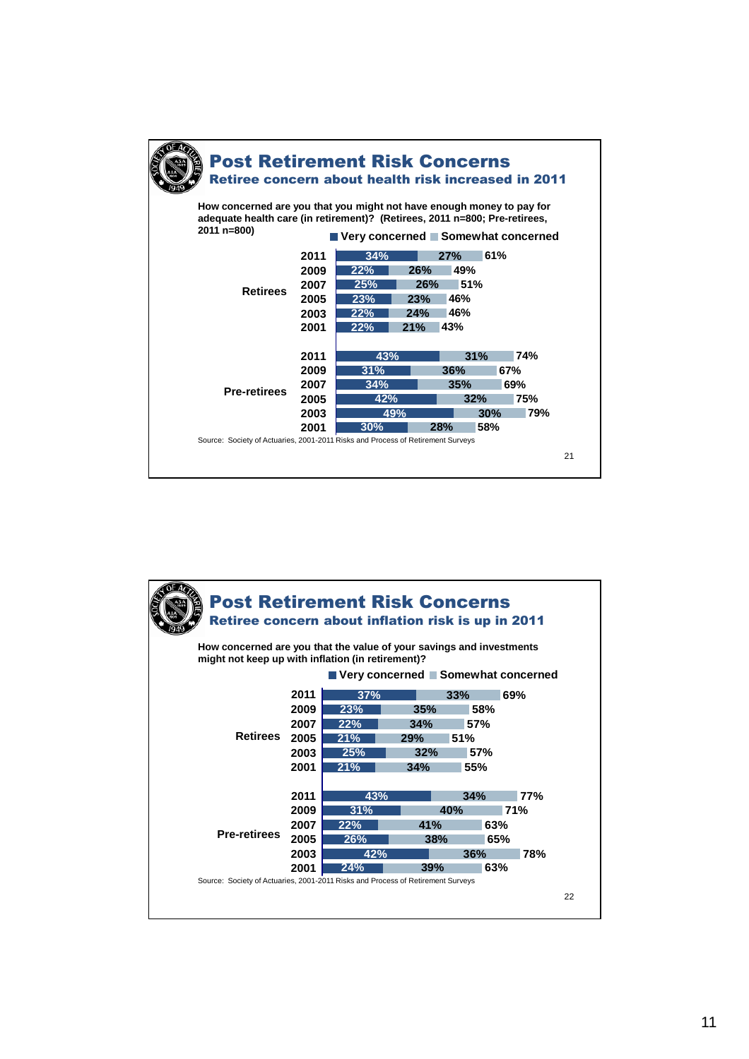

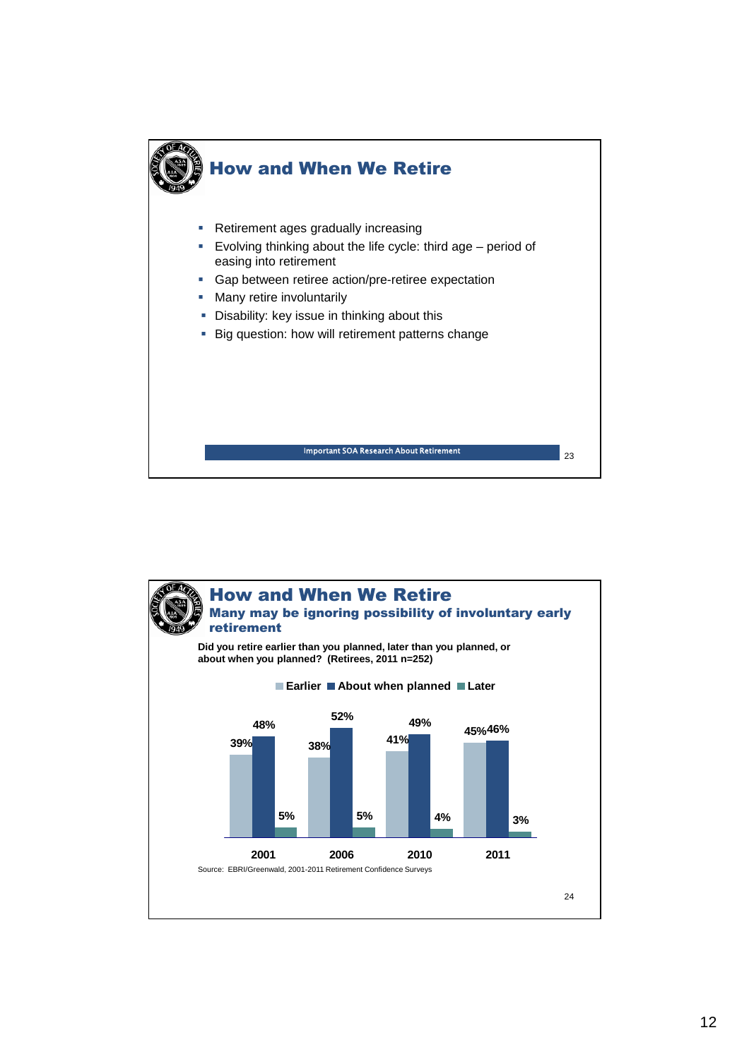

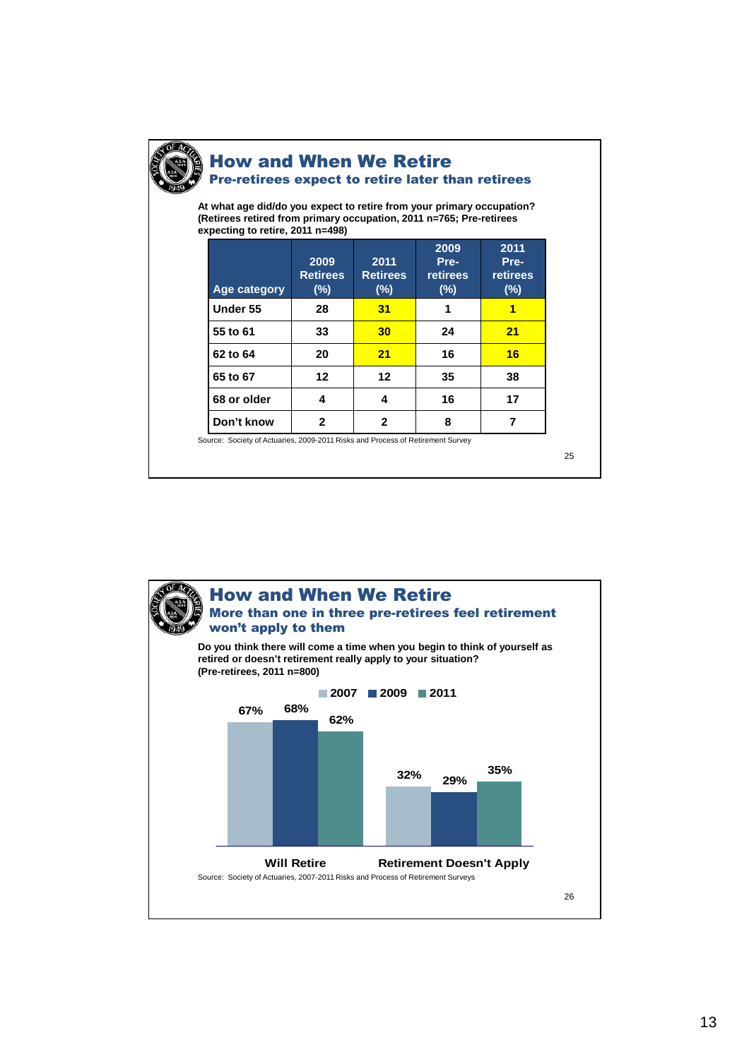

### How and When We Retire Pre-retirees expect to retire later than retirees

**At what age did/do you expect to retire from your primary occupation? (Retirees retired from primary occupation, 2011 n=765; Pre-retirees expecting to retire, 2011 n=498)**

| 2009<br><b>Retirees</b><br>$(\%)$ | 2011<br><b>Retirees</b><br>$(\%)$ | 2009<br>Pre-<br>retirees<br>$(\%)$ | 2011<br>Pre-<br>retirees<br>$(\%)$ |
|-----------------------------------|-----------------------------------|------------------------------------|------------------------------------|
| 28                                | 31                                |                                    |                                    |
| 33                                | 30                                | 24                                 | 21                                 |
| 20                                | 21                                | 16                                 | 16                                 |
| 12                                | 12                                | 35                                 | 38                                 |
| 4                                 | 4                                 | 16                                 | 17                                 |
| 2                                 | $\mathbf{2}$                      | 8                                  |                                    |
|                                   |                                   |                                    |                                    |

ks and Process of Retirement Survey

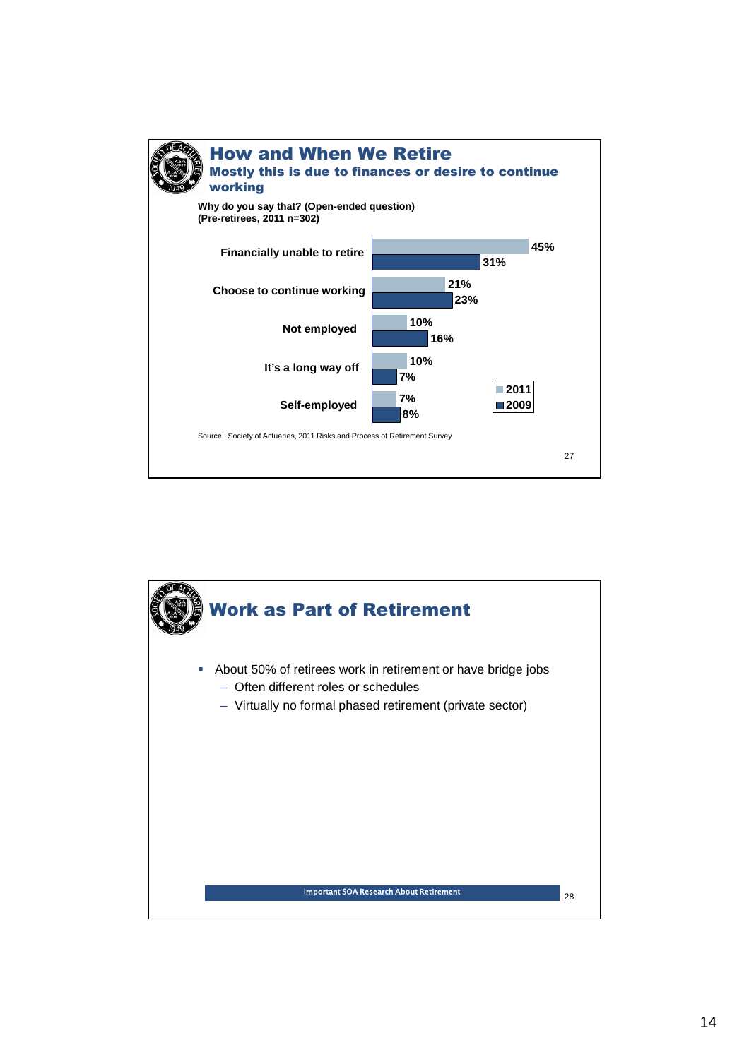

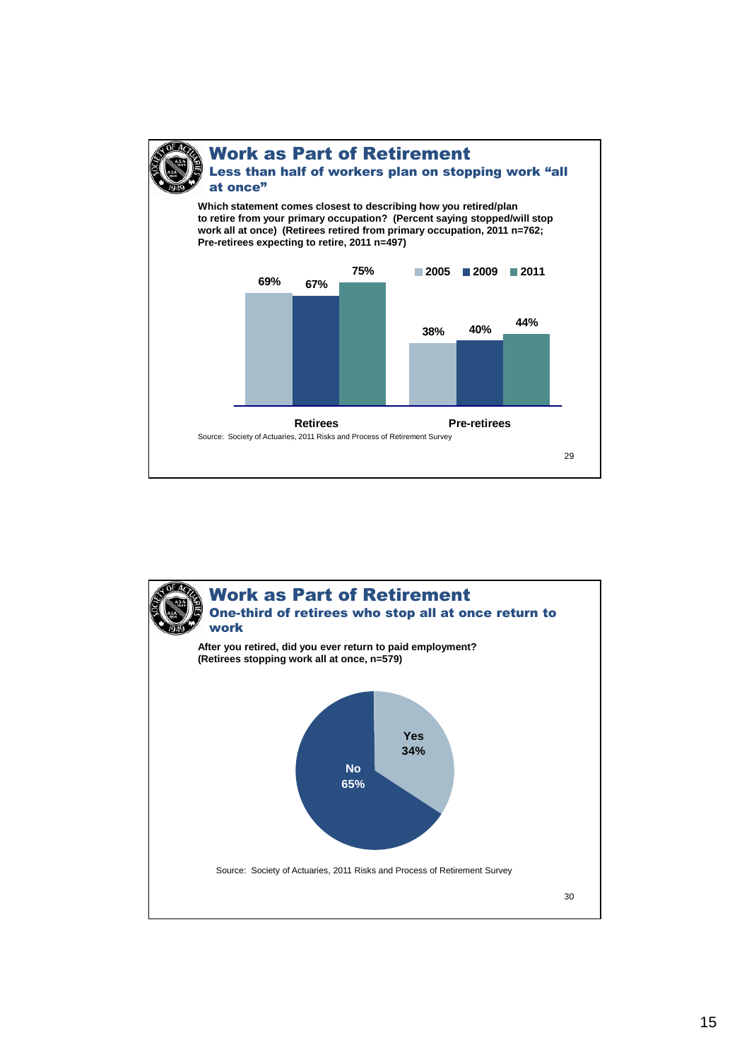at once"

### Work as Part of Retirement Less than half of workers plan on stopping work "all

**Which statement comes closest to describing how you retired/plan to retire from your primary occupation? (Percent saying stopped/will stop work all at once) (Retirees retired from primary occupation, 2011 n=762; Pre-retirees expecting to retire, 2011 n=497)**



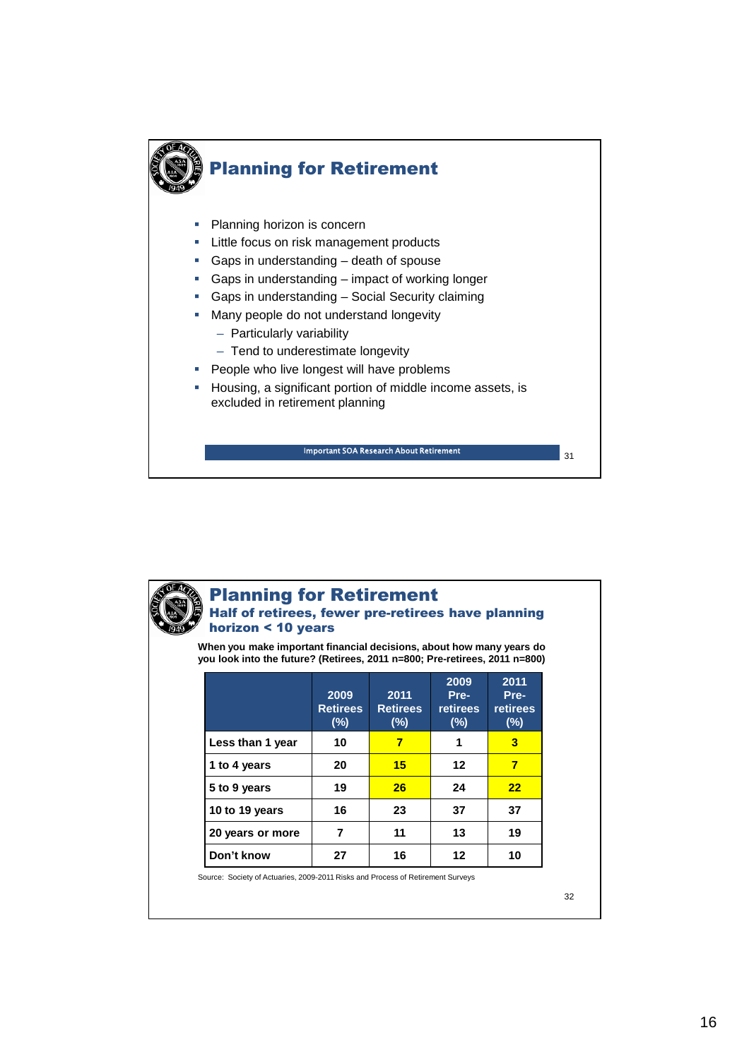



## Planning for Retirement

#### Half of retirees, fewer pre-retirees have planning horizon < 10 years

**When you make important financial decisions, about how many years do you look into the future? (Retirees, 2011 n=800; Pre-retirees, 2011 n=800)**

|                  | 2009<br><b>Retirees</b><br>(%) | 2011<br><b>Retirees</b><br>$(\%)$ | 2009<br>Pre-<br><b>retirees</b><br>$(\%)$ | 2011<br>Pre-<br><b>retirees</b><br>(%) |
|------------------|--------------------------------|-----------------------------------|-------------------------------------------|----------------------------------------|
| Less than 1 year | 10                             | 7                                 | 1                                         | 3                                      |
| 1 to 4 years     | 20                             | 15                                | 12                                        | $\overline{\mathbf{z}}$                |
| 5 to 9 years     | 19                             | 26                                | 24                                        | 22                                     |
| 10 to 19 years   | 16                             | 23                                | 37                                        | 37                                     |
| 20 years or more | 7                              | 11                                | 13                                        | 19                                     |
| Don't know       | 27                             | 16                                | 12                                        | 10                                     |

Source: Society of Actuaries, 2009-2011 Risks and Process of Retirement Surveys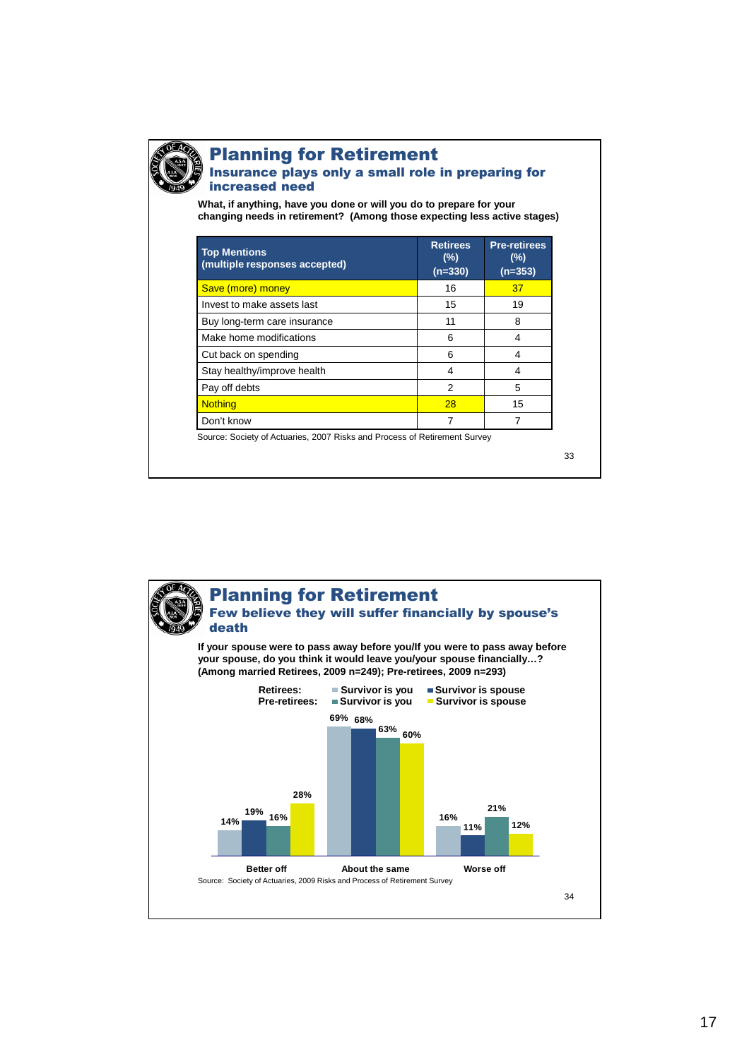

### Planning for Retirement Insurance plays only a small role in preparing for

increased need

**What, if anything, have you done or will you do to prepare for your changing needs in retirement? (Among those expecting less active stages)**

| <b>Top Mentions</b><br>(multiple responses accepted) | <b>Retirees</b><br>(%)<br>$(n=330)$ | <b>Pre-retirees</b><br>(%)<br>$(n=353)$ |
|------------------------------------------------------|-------------------------------------|-----------------------------------------|
| Save (more) money                                    | 16                                  | 37                                      |
| Invest to make assets last                           | 15                                  | 19                                      |
| Buy long-term care insurance                         | 11                                  | 8                                       |
| Make home modifications                              | 6                                   | 4                                       |
| Cut back on spending                                 | 6                                   | 4                                       |
| Stay healthy/improve health                          | 4                                   | 4                                       |
| Pay off debts                                        | 2                                   | 5                                       |
| <b>Nothing</b>                                       | 28                                  | 15                                      |
| Don't know                                           |                                     |                                         |

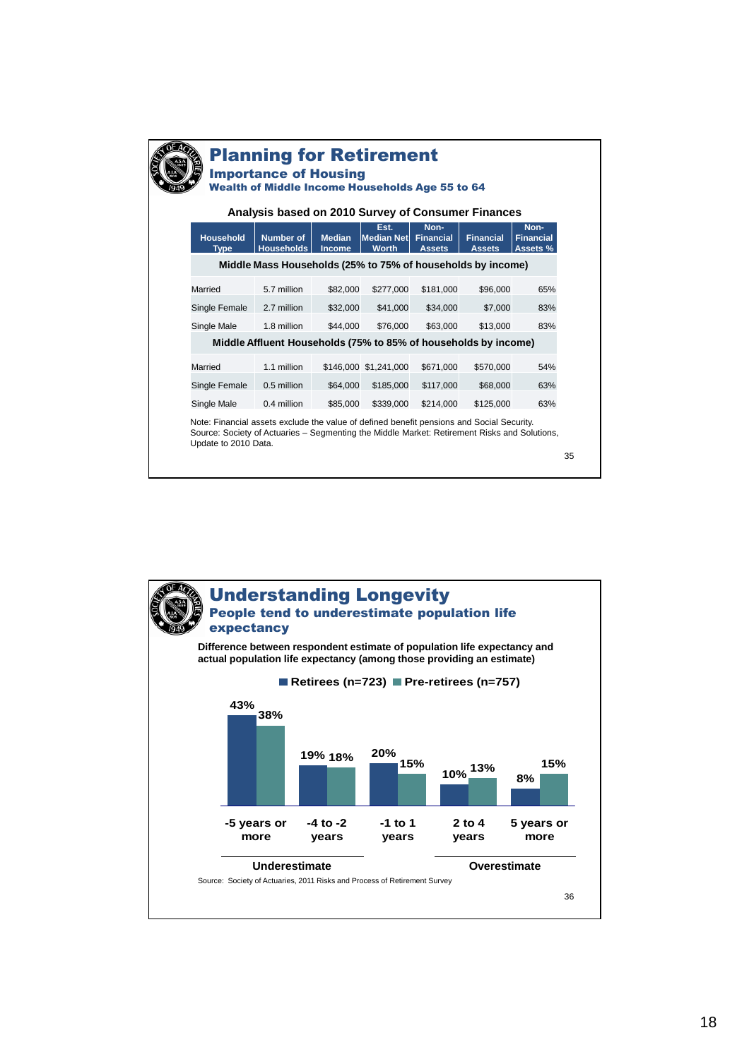| <b>Planning for Retirement</b><br><b>Importance of Housing</b>                                               |                                                             |                                |                                           |                                           |                                   |                                      |  |
|--------------------------------------------------------------------------------------------------------------|-------------------------------------------------------------|--------------------------------|-------------------------------------------|-------------------------------------------|-----------------------------------|--------------------------------------|--|
| <b>Wealth of Middle Income Households Age 55 to 64</b><br>Analysis based on 2010 Survey of Consumer Finances |                                                             |                                |                                           |                                           |                                   |                                      |  |
| <b>Household</b><br><b>Type</b>                                                                              | <b>Number of</b><br><b>Households</b>                       | <b>Median</b><br><b>Income</b> | Est.<br><b>Median Net</b><br><b>Worth</b> | Non-<br><b>Financial</b><br><b>Assets</b> | <b>Financial</b><br><b>Assets</b> | Non-<br><b>Financial</b><br>Assets % |  |
|                                                                                                              | Middle Mass Households (25% to 75% of households by income) |                                |                                           |                                           |                                   |                                      |  |
| Married                                                                                                      | 5.7 million                                                 | \$82,000                       | \$277,000                                 | \$181,000                                 | \$96,000                          | 65%                                  |  |
| Single Female                                                                                                | 2.7 million                                                 | \$32,000                       | \$41,000                                  | \$34,000                                  | \$7,000                           | 83%                                  |  |
| Single Male                                                                                                  | 1.8 million                                                 | \$44,000                       | \$76,000                                  | \$63,000                                  | \$13,000                          | 83%                                  |  |
| Middle Affluent Households (75% to 85% of households by income)                                              |                                                             |                                |                                           |                                           |                                   |                                      |  |
| Married                                                                                                      | 1.1 million                                                 |                                | \$146,000 \$1,241,000                     | \$671,000                                 | \$570,000                         | 54%                                  |  |
| Single Female                                                                                                | 0.5 million                                                 | \$64,000                       | \$185,000                                 | \$117,000                                 | \$68,000                          | 63%                                  |  |
| Single Male                                                                                                  | 0.4 million                                                 | \$85,000                       | \$339,000                                 | \$214.000                                 | \$125,000                         | 63%                                  |  |

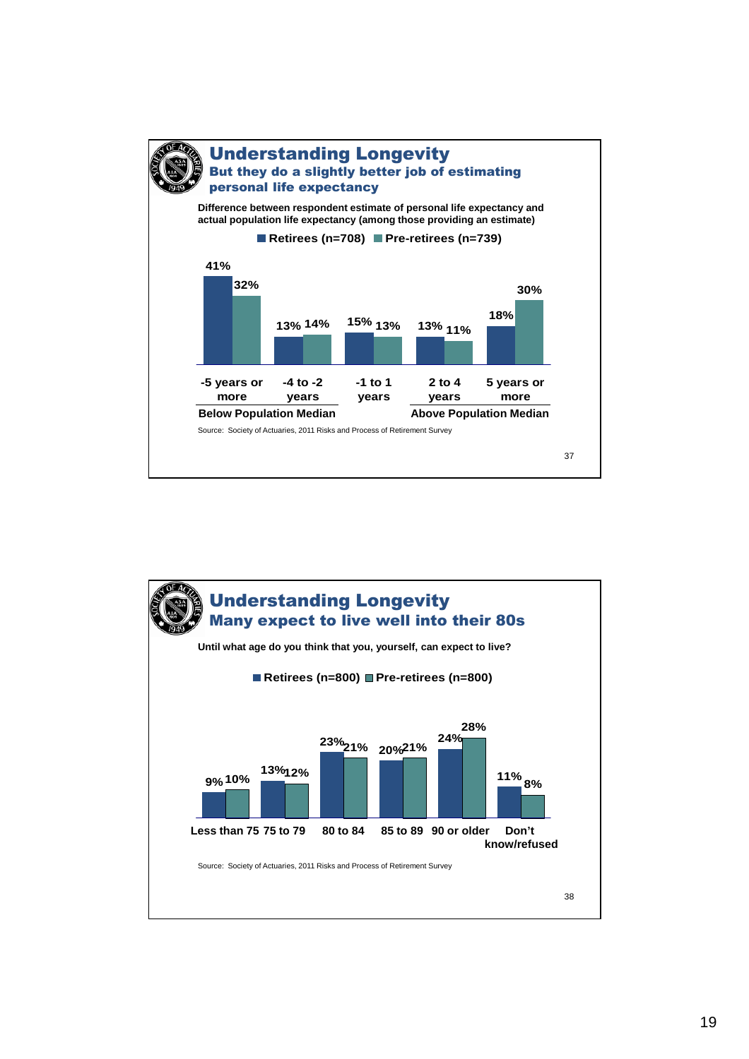

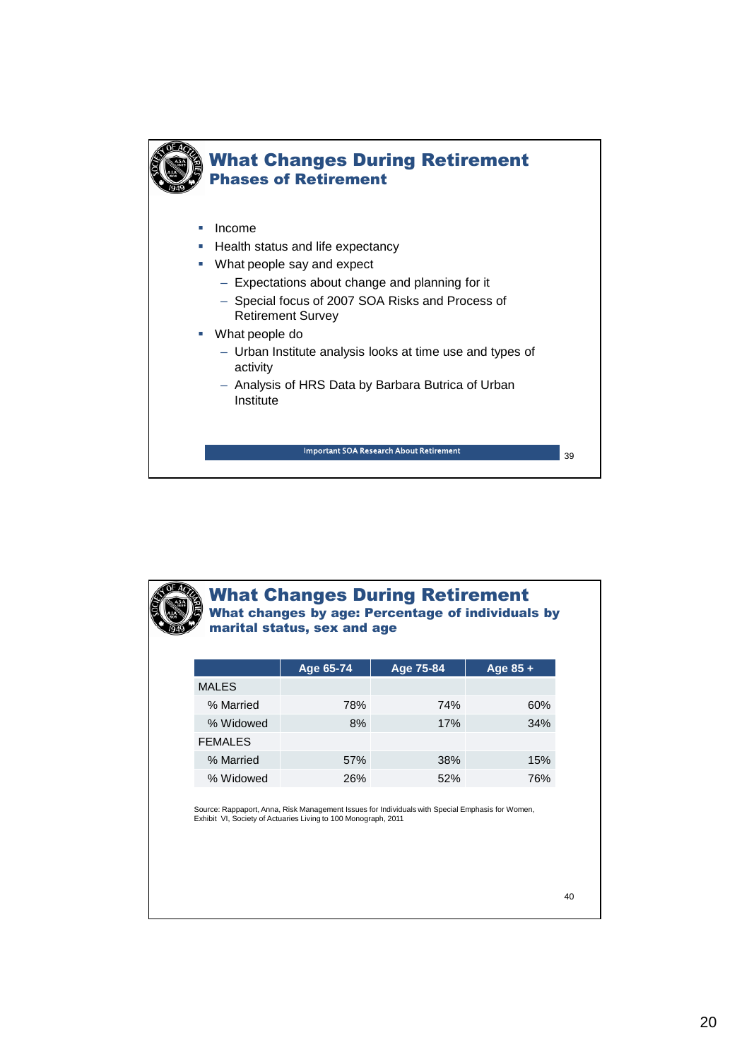



#### What Changes During Retirement What changes by age: Percentage of individuals by marital status, sex and age

|                | Age 65-74  | Age 75-84 | Age $85 +$ |
|----------------|------------|-----------|------------|
| <b>MALES</b>   |            |           |            |
| % Married      | 78%        | 74%       | 60%        |
| % Widowed      | 8%         | 17%       | 34%        |
| <b>FEMALES</b> |            |           |            |
| % Married      | 57%        | 38%       | 15%        |
| % Widowed      | <b>26%</b> | 52%       | 76%        |

Source: Rappaport, Anna, Risk Management Issues for Individuals with Special Emphasis for Women, Exhibit VI, Society of Actuaries Living to 100 Monograph, 2011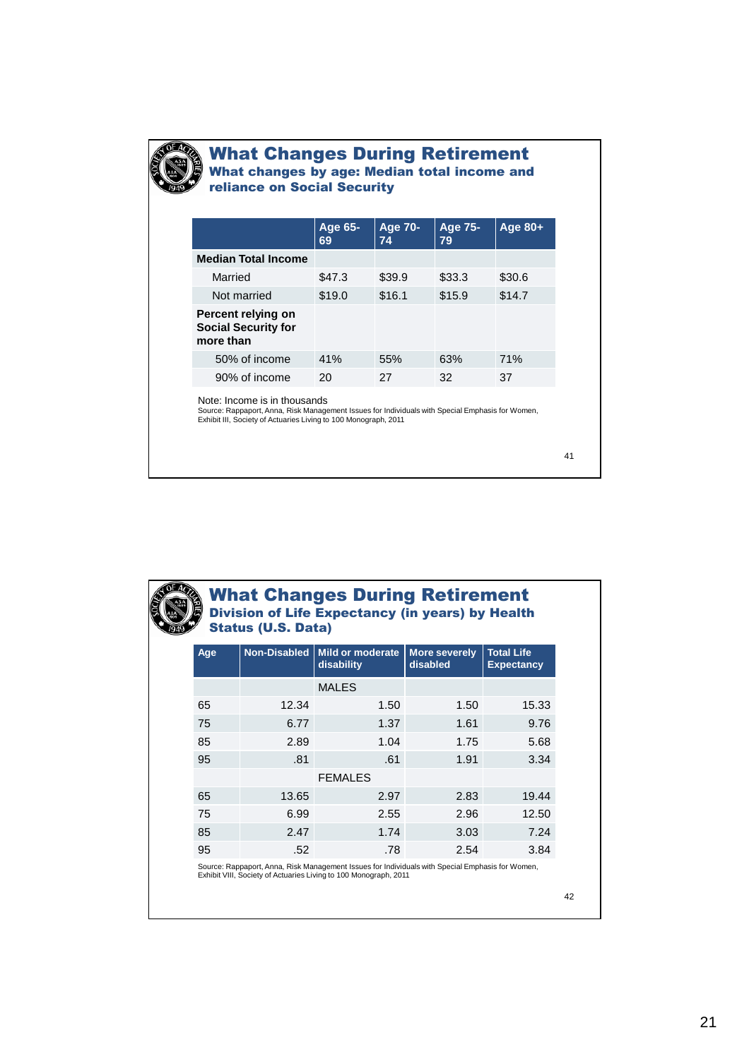

**CONTROL** 

#### What Changes During Retirement What changes by age: Median total income and reliance on Social Security

| Age 65-<br>69 | <b>Age 70-</b><br>74 | <b>Age 75-</b><br>79 | Age 80+    |
|---------------|----------------------|----------------------|------------|
|               |                      |                      |            |
| \$47.3        | \$39.9               | \$33.3               | \$30.6     |
| \$19.0        | \$16.1               | \$15.9               | \$14.7     |
|               |                      |                      |            |
| 41%           | 55%                  | 63%                  | <b>71%</b> |
| 20            | 27                   | 32                   | 37         |
|               |                      |                      |            |

41

| <b>What Changes During Retirement</b><br><b>Division of Life Expectancy (in years) by Health</b><br><b>Status (U.S. Data)</b> |                     |                                       |                           |                                        |  |  |  |
|-------------------------------------------------------------------------------------------------------------------------------|---------------------|---------------------------------------|---------------------------|----------------------------------------|--|--|--|
| Age                                                                                                                           | <b>Non-Disabled</b> | <b>Mild or moderate</b><br>disability | More severely<br>disabled | <b>Total Life</b><br><b>Expectancy</b> |  |  |  |
|                                                                                                                               |                     | <b>MALES</b>                          |                           |                                        |  |  |  |
| 65                                                                                                                            | 12.34               | 1.50                                  | 1.50                      | 15.33                                  |  |  |  |
| 75                                                                                                                            | 6.77                | 1.37                                  | 1.61                      | 9.76                                   |  |  |  |
| 85                                                                                                                            | 2.89                | 1.04                                  | 1.75                      | 5.68                                   |  |  |  |
| 95                                                                                                                            | .81                 | .61                                   | 1.91                      | 3.34                                   |  |  |  |
|                                                                                                                               |                     | <b>FEMALES</b>                        |                           |                                        |  |  |  |
| 65                                                                                                                            | 13.65               | 2.97                                  | 2.83                      | 19.44                                  |  |  |  |
| 75                                                                                                                            | 6.99                | 2.55                                  | 2.96                      | 12.50                                  |  |  |  |
| 85                                                                                                                            | 2.47                | 1.74                                  | 3.03                      | 7.24                                   |  |  |  |
| 95                                                                                                                            | .52                 | .78                                   | 2.54                      | 3.84                                   |  |  |  |

Source: Rappaport, Anna, Risk Management Issues for Individuals with Special Emphasis for Women, Exhibit VIII, Society of Actuaries Living to 100 Monograph, 2011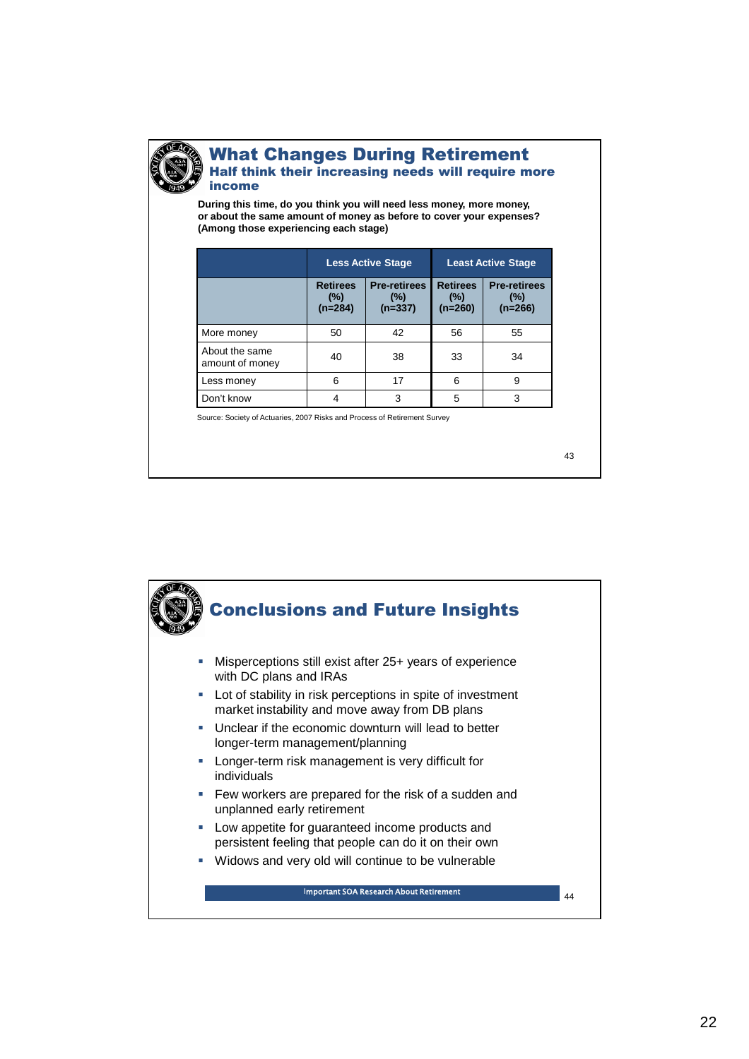

#### What Changes During Retirement Half think their increasing needs will require more income

**During this time, do you think you will need less money, more money, or about the same amount of money as before to cover your expenses? (Among those experiencing each stage)**

|                                   |                                        | <b>Less Active Stage</b>                   | <b>Least Active Stage</b>              |                                            |  |
|-----------------------------------|----------------------------------------|--------------------------------------------|----------------------------------------|--------------------------------------------|--|
|                                   | <b>Retirees</b><br>$(\%)$<br>$(n=284)$ | <b>Pre-retirees</b><br>$(\%)$<br>$(n=337)$ | <b>Retirees</b><br>$(\%)$<br>$(n=260)$ | <b>Pre-retirees</b><br>$(\%)$<br>$(n=266)$ |  |
| More money                        | 50                                     | 42                                         | 56                                     | 55                                         |  |
| About the same<br>amount of money | 40                                     | 38                                         | 33                                     | 34                                         |  |
| Less money                        | 6                                      | 17                                         | 6                                      | 9                                          |  |
| Don't know                        |                                        | 3                                          | 5                                      | 3                                          |  |

Source: Society of Actuaries, 2007 Risks and Process of Retirement Survey

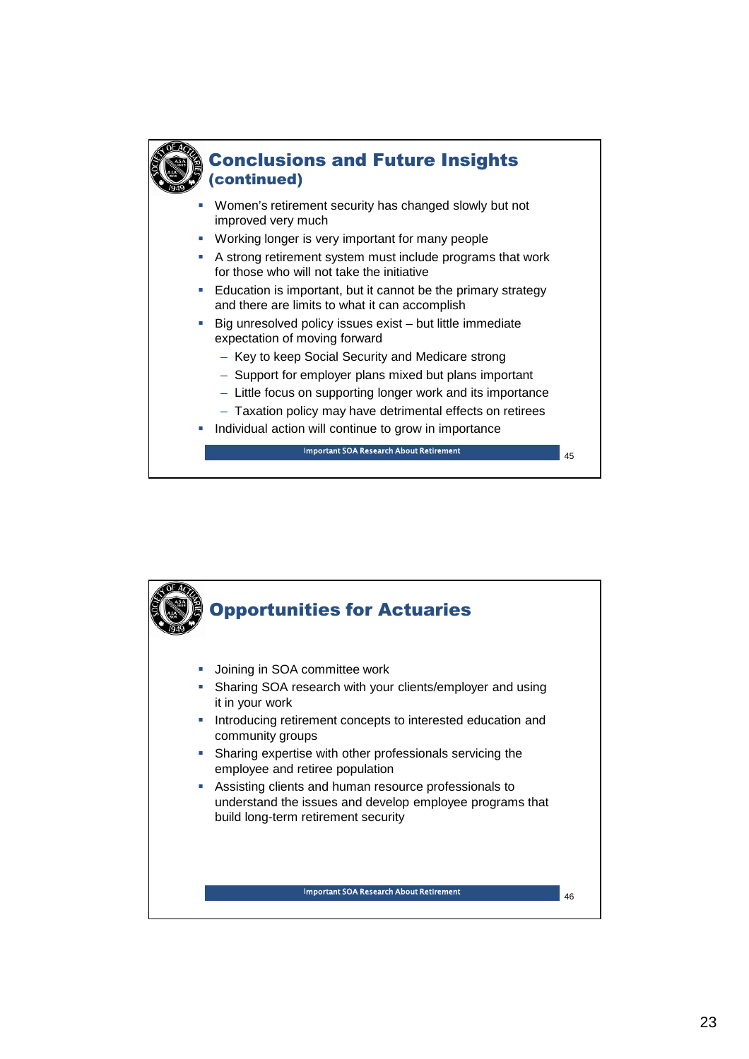

## Conclusions and Future Insights (continued)

- Women's retirement security has changed slowly but not improved very much
- **Working longer is very important for many people**
- A strong retirement system must include programs that work for those who will not take the initiative
- **Education is important, but it cannot be the primary strategy** and there are limits to what it can accomplish
- Big unresolved policy issues exist but little immediate expectation of moving forward
	- Key to keep Social Security and Medicare strong
	- Support for employer plans mixed but plans important
	- Little focus on supporting longer work and its importance
	- Taxation policy may have detrimental effects on retirees
- Individual action will continue to grow in importance

<sup>45</sup> Important SOA Research About Retirement

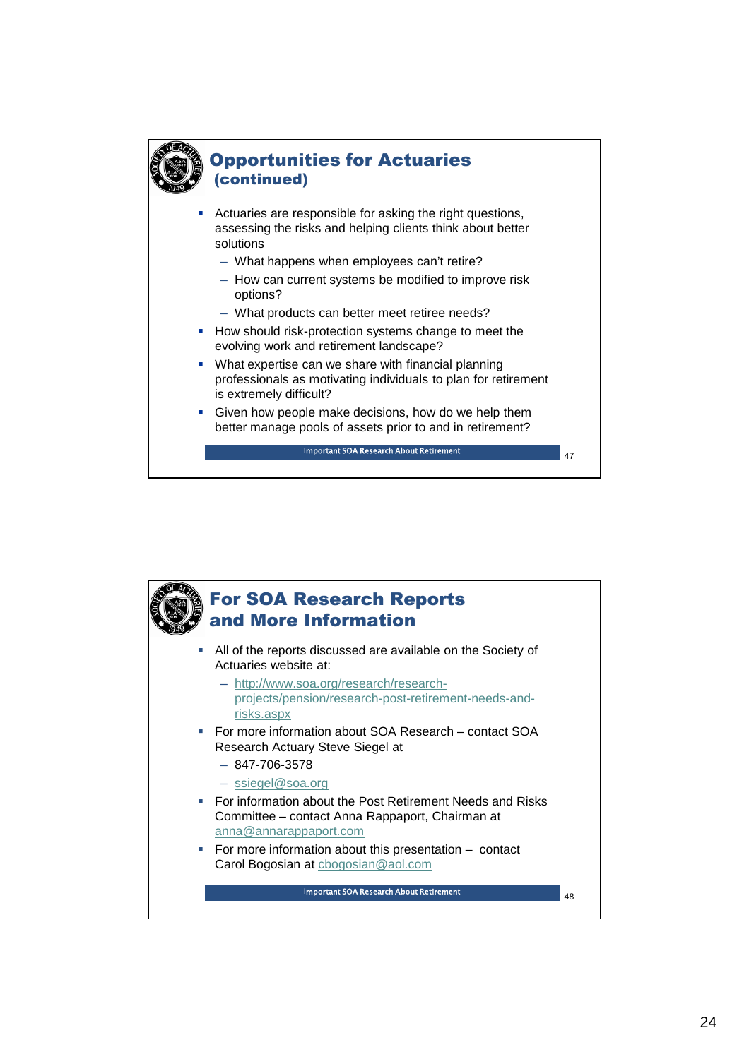

## Opportunities for Actuaries (continued)

 Actuaries are responsible for asking the right questions, assessing the risks and helping clients think about better solutions

- What happens when employees can't retire?
- How can current systems be modified to improve risk options?
- What products can better meet retiree needs?
- How should risk-protection systems change to meet the evolving work and retirement landscape?
- What expertise can we share with financial planning professionals as motivating individuals to plan for retirement is extremely difficult?
- Given how people make decisions, how do we help them better manage pools of assets prior to and in retirement?

Important SOA Research about Retirement 47 Important SOA Research About Retirement